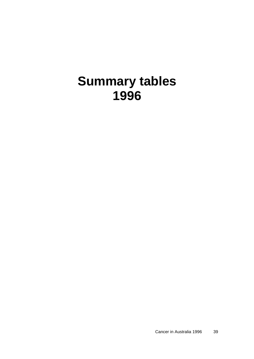## **Summary tables 1996**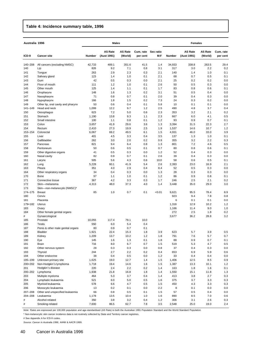## **Table 4: Incidence summary table, 1996**

| Australia 1996 |                                    | <b>Males</b> |                               |                           |                       |                  | <b>Females</b> |                               |                           |                       |  |
|----------------|------------------------------------|--------------|-------------------------------|---------------------------|-----------------------|------------------|----------------|-------------------------------|---------------------------|-----------------------|--|
| ICD-9          | <b>Cancer site</b>                 | Number       | <b>AS Rate</b><br>(Aust 1991) | <b>AS Rate</b><br>(World) | Cum. rate<br>per cent | Sex ratio<br>M:F | Number         | <b>AS Rate</b><br>(Aust 1991) | <b>AS Rate</b><br>(World) | Cum. rate<br>per cent |  |
| 140-208        | All cancers (excluding NMSC)       | 42,733       | 489.1                         | 351.6                     | 41.5                  | 1.4              | 34,933         | 338.8                         | 263.5                     | 29.4                  |  |
| 140            | Lip                                | 826          | 9.2                           | 7.1                       | 0.8                   | 3.1              | 317            | 3.0                           | 2.2                       | 0.2                   |  |
| 141            | Tongue                             | 263          | 2.9                           | 2.3                       | 0.3                   | 2.1              | 140            | 1.4                           | 1.0                       | 0.1                   |  |
| 142            | Salivary gland                     | 123          | 1.4                           | 1.0                       | 0.1                   | 2.1              | 68             | 0.7                           | 0.5                       | 0.1                   |  |
| 143            | Gum                                | 42           | 0.5                           | 0.3                       | 0.0                   | 2.1              | 25             | 0.2                           | 0.2                       | 0.0                   |  |
| 144            | Floor of mouth                     | 111          | 1.2                           | 1.0                       | 0.1                   | 2.6              | 50             | 0.5                           | 0.3                       | 0.0                   |  |
| 145            | Other mouth                        | 125          | 1.4                           | 1.1                       | 0.1                   | 1.7              | 83             | 0.8                           | 0.6                       | 0.1                   |  |
| 146            | Oropharynx                         | 148          | 1.6                           | 1.3                       | 0.2                   | 3.1              | 51             | 0.5                           | 0.4                       | 0.0                   |  |
| 147            | Nasopharynx                        | 71           | 0.8                           | 0.7                       | 0.1                   | 2.0              | 39             | 0.4                           | 0.3                       | 0.0                   |  |
| 148            | Hypopharynx                        | 166          | 1.8                           | 1.5                       | 0.2                   | 7.3              | 24             | 0.3                           | 0.2                       | 0.0                   |  |
| 149            | Other lip, oral cavity and pharynx | 50           | 0.6                           | 0.4                       | 0.1                   | 5.8              | 10             | 0.1                           | 0.1                       | 0.0                   |  |
| 141-149        | Head and neck                      | 1,099<br>623 | 12.2                          | 9.7                       | 1.2                   | 2.5              | 490            | 4.8                           | 3.7                       | 0.4                   |  |
| 150<br>151     | Oesophagus<br>Stomach              | 1,190        | 7.2<br>13.8                   | 5.0<br>9.3                | 0.6<br>1.1            | 2.3<br>2.3       | 353<br>667     | 3.2<br>6.0                    | 2.1<br>4.1                | 0.2<br>0.5            |  |
| 152            | Small intestine                    | 100          | 1.1                           | 0.8                       | 0.1                   | 1.2              | 93             | 0.9                           | 0.7                       | 0.1                   |  |
| 153            | Colon                              | 3,657        | 41.9                          | 29.6                      | 3.6                   | 1.3              | 3,394          | 31.5                          | 22.3                      | 2.7                   |  |
| 154            | Rectum                             | 2,410        | 27.3                          | 19.9                      | 2.5                   | 1.9              | 1,537          | 14.6                          | 10.7                      | 1.2                   |  |
| 153-154        | Colorectal                         | 6,067        | 69.2                          | 49.5                      | 6.1                   | 1.5              | 4,931          | 46.0                          | 33.0                      | 3.9                   |  |
| 155            | Liver                              | 401          | 4.5                           | 3.3                       | 0.4                   | 3.5              | 137            | 1.3                           | 1.0                       | 0.1                   |  |
| 156            | Gallbladder                        | 262          | 3.0                           | 2.0                       | 0.2                   | 0.9              | 355            | 3.2                           | 2.2                       | 0.3                   |  |
| 157            | Pancreas                           | 821          | 9.4                           | 6.4                       | 0.8                   | 1.3              | 801            | 7.2                           | 4.6                       | 0.5                   |  |
| 158            | Peritoneum                         | 50           | 0.6                           | 0.5                       | 0.1                   | 0.7              | 80             | 0.8                           | 0.6                       | 0.1                   |  |
| 159            | Other digestive organs             | 41           | 0.5                           | 0.3                       | 0.0                   | 1.2              | 52             | 0.4                           | 0.3                       | 0.0                   |  |
| 160            | Nasal cavity                       | 82           | 0.9                           | 0.7                       | 0.1                   | 2.6              | 39             | 0.4                           | 0.3                       | 0.0                   |  |
| 161            | Larynx                             | 505          | 5.6                           | 4.3                       | 0.6                   | 10.0             | 58             | 0.6                           | 0.5                       | 0.1                   |  |
| 162            | Lung                               | 5,228        | 60.1                          | 41.9                      | 5.4                   | 2.6              | 2,393          | 23.0                          | 16.9                      | 2.1                   |  |
| 163            | Pleura                             | 351          | 4.0                           | 2.9                       | 0.4                   | 8.4              | 52             | 0.5                           | 0.3                       | 0.0                   |  |
| 164            | Other respiratory organs           | 34           | 0.4                           | 0.3                       | 0.0                   | 1.3              | 28             | 0.3                           | 0.3                       | 0.0                   |  |
| 170            | Bone                               | 97           | 1.1                           | 1.0                       | 0.1                   | 1.2              | 86             | 0.9                           | 0.8                       | 0.1                   |  |
| 171            | Connective tissue                  | 367          | 4.2                           | 3.3                       | 0.3                   | 1.7              | 246            | 2.5                           | 2.1                       | 0.2                   |  |
| 172            | Skin-melanoma                      | 4,313        | 48.0                          | 37.3                      | 4.0                   | 1.4              | 3,448          | 35.0                          | 29.0                      | 3.0                   |  |
| 173            | Skin-non-melanocytic (NMSC)*       |              |                               |                           |                       |                  |                |                               |                           |                       |  |
| 174-175        | <b>Breast</b>                      | 85           | 1.0                           | 0.7                       | 0.1                   | <0.01            | 9,621          | 95.5                          | 78.4                      | 8.9                   |  |
| 180            | Cervix                             |              |                               |                           |                       |                  | 923            | 9.4                           | 7.8                       | 0.8                   |  |
| 181            | Placenta                           |              |                               |                           |                       |                  | 6              | 0.1                           | 0.1                       | 0.0                   |  |
| 179+182        | Uterus                             |              |                               |                           |                       |                  | 1,316          | 12.9                          | 10.2                      | 1.2                   |  |
| 183            | Ovary                              |              |                               |                           |                       |                  | 1,166          | 11.4                          | 9.0                       | 1.0                   |  |
| 184            | Other female genital organs        |              |                               |                           |                       |                  | 272            | 2.5                           | 1.8                       | 0.2                   |  |
| #              | Gynaecological                     |              |                               |                           |                       |                  | 3,677          | 36.2                          | 28.8                      | 3.2                   |  |
| 185            | Prostate                           | 10,055       | 117.4                         | 79.1                      | 10.0                  |                  |                |                               |                           |                       |  |
| 186            | <b>Testis</b>                      | 550          | 6.0                           | 5.4                       | 0.4                   |                  |                |                               |                           |                       |  |
| 187            | Penis & other male genital organs  | 80           | 0.9                           | 0.7                       | 0.1                   |                  |                |                               |                           |                       |  |
| 188            | Bladder                            | 1,921        | 22.4                          | 15.3                      | 1.8                   | 3.9              | 623            | 5.7                           | 3.9                       | 0.5                   |  |
| 189            | Kidney                             | 1,209<br>145 | 13.7                          | 10.2                      | 1.2                   | 1.8              | 791<br>88      | 7.6<br>0.9                    | 5.7<br>0.7                | 0.7                   |  |
| 190<br>191     | Eye<br>Brain                       | 716          | 1.6<br>8.0                    | 1.3<br>6.7                | 0.1<br>0.7            | 1.8<br>1.5       | 519            | 5.3                           | 4.7                       | 0.1<br>0.5            |  |
| 192            | Other nervous system               | 28           | 0.3                           | 0.3                       | 0.0                   | 0.8              | 37             | 0.4                           | 0.3                       | 0.0                   |  |
| 193            | Thyroid                            | 244          | 2.7                           | 2.2                       | 0.2                   | 0.4              | 653            | 6.9                           | 5.9                       | 0.6                   |  |
| 194            | Other endocrine                    | 38           | 0.4                           | 0.5                       | 0.0                   | 1.2              | 33             | 0.4                           | 0.4                       | 0.0                   |  |
| 195-199        | Unknown primary site               | 1,625        | 19.0                          | 12.7                      | 1.4                   | 1.5              | 1,406          | 12.5                          | 8.5                       | 0.9                   |  |
| 200+202        | Non-Hodgkin's lymphoma             | 1,718        | 19.4                          | 14.6                      | 1.6                   | 1.5              | 1,387          | 13.3                          | 10.1                      | 1.2                   |  |
| 201            | Hodgkin's disease                  | 220          | 2.4                           | 2.2                       | 0.2                   | 1.4              | 163            | 1.8                           | 1.6                       | 0.1                   |  |
| 200-202        | Lymphoma                           | 1,938        | 21.8                          | 16.8                      | 1.8                   | 1.4              | 1,550          | 15.1                          | 11.8                      | 1.3                   |  |
| 203            | Multiple myeloma                   | 464          | 5.3                           | 3.7                       | 0.4                   | 1.4              | 413            | 3.8                           | 2.7                       | 0.3                   |  |
| 204            | Lymphatic leukaemia                | 521          | 6.0                           | 5.0                       | 0.5                   | 1.6              | 375            | 3.7                           | 3.3                       | 0.3                   |  |
| 205            | Myeloid leukaemia                  | 578          | 6.6                           | 4.7                       | 0.5                   | 1.5              | 450            | 4.3                           | 3.3                       | 0.3                   |  |
| 206            | Monocytic leukaemia                | 13           | 0.2                           | 0.1                       | 0.0                   | 2.2              | 8              | 0.1                           | 0.0                       | 0.0                   |  |
| 207-208        | Other and unspecified leukaemia    | 66           | 0.8                           | 0.5                       | 0.1                   | 1.5              | 57             | 0.5                           | 0.4                       | 0.0                   |  |
| 204-208        | Leukaemia                          | 1,178        | 13.5                          | 10.4                      | 1.0                   | 1.6              | 890            | 8.5                           | 7.0                       | 0.6                   |  |
| #              | Alcohol-related                    | 350          | 3.8                           | 3.2                       | 0.4                   | 1.2              | 306            | 3.1                           | 2.6                       | 0.3                   |  |
| #              | Smoking-related                    | 7,600        | 86.5                          | 62.7                      | 7.8                   | 3.5              | 2,548          | 25.0                          | 19.0                      | 2.4                   |  |

*Note:* Rates are expressed per 100,000 population and age-standardised (AS Rate) to both the Australian 1991 Population Standard and the World Standard Population.

\* Non-melanocytic skin cancer incidence data is not routinely collected by State and Territory cancer registries.

# See Appendix A for ICD-9 codes.

*Source: Cancer in Australia 1996,* AIHW & AACR 1999.